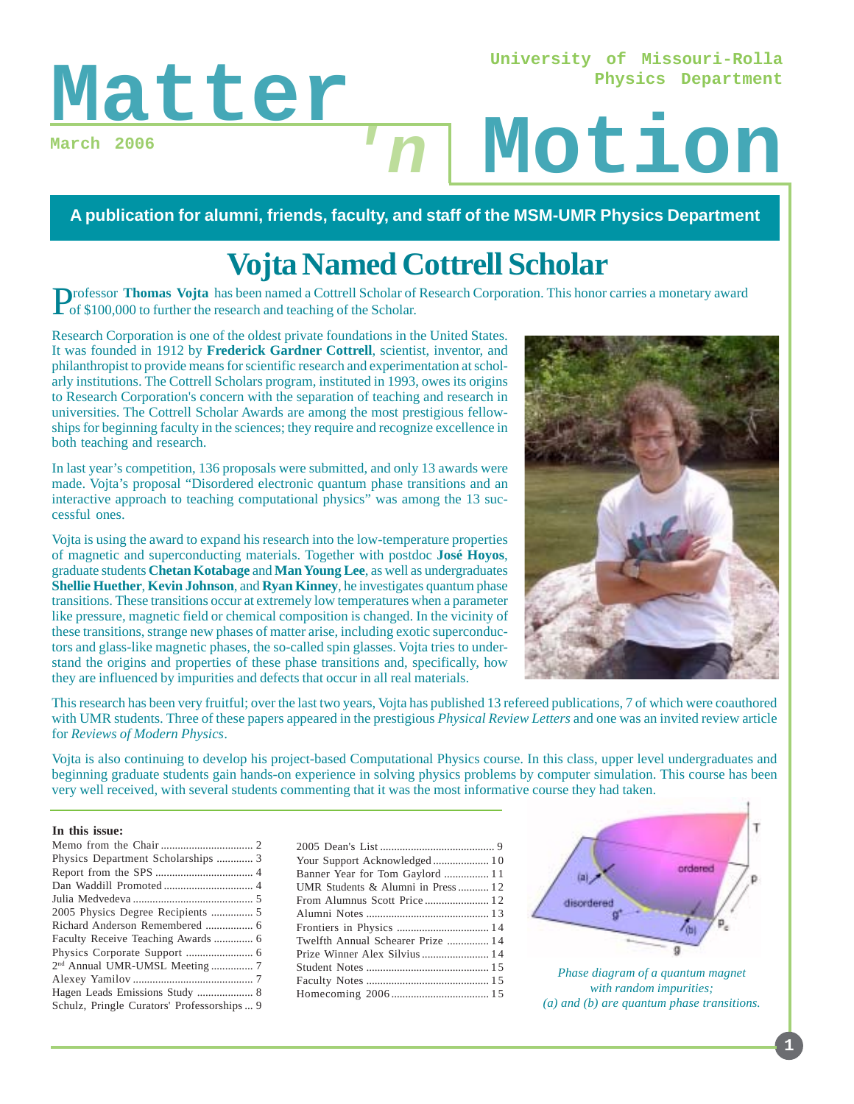**University of Missouri-Rolla Physics Department**

**March 2006**

# Matter<sub>n</sub> Motion **'n**

**A publication for alumni, friends, faculty, and staff of the MSM-UMR Physics Department**

# **Vojta Named Cottrell Scholar**

Professor **Thomas Vojta** has been named a Cottrell Scholar of Research Corporation. This honor carries a monetary award of \$100,000 to further the research and teaching of the Scholar.

Research Corporation is one of the oldest private foundations in the United States. It was founded in 1912 by **Frederick Gardner Cottrell**, scientist, inventor, and philanthropist to provide means for scientific research and experimentation at scholarly institutions. The Cottrell Scholars program, instituted in 1993, owes its origins to Research Corporation's concern with the separation of teaching and research in universities. The Cottrell Scholar Awards are among the most prestigious fellowships for beginning faculty in the sciences; they require and recognize excellence in both teaching and research.

In last year's competition, 136 proposals were submitted, and only 13 awards were made. Vojta's proposal "Disordered electronic quantum phase transitions and an interactive approach to teaching computational physics" was among the 13 successful ones.

Vojta is using the award to expand his research into the low-temperature properties of magnetic and superconducting materials. Together with postdoc **José Hoyos**, graduate students **Chetan Kotabage** and **Man Young Lee**, as well as undergraduates **Shellie Huether**, **Kevin Johnson**, and **Ryan Kinney**, he investigates quantum phase transitions. These transitions occur at extremely low temperatures when a parameter like pressure, magnetic field or chemical composition is changed. In the vicinity of these transitions, strange new phases of matter arise, including exotic superconductors and glass-like magnetic phases, the so-called spin glasses. Vojta tries to understand the origins and properties of these phase transitions and, specifically, how they are influenced by impurities and defects that occur in all real materials.



This research has been very fruitful; over the last two years, Vojta has published 13 refereed publications, 7 of which were coauthored with UMR students. Three of these papers appeared in the prestigious *Physical Review Letters* and one was an invited review article for *Reviews of Modern Physics*.

Vojta is also continuing to develop his project-based Computational Physics course. In this class, upper level undergraduates and beginning graduate students gain hands-on experience in solving physics problems by computer simulation. This course has been very well received, with several students commenting that it was the most informative course they had taken.

#### **In this issue:**

| Your Support Acknowledged 10      |  |
|-----------------------------------|--|
| Banner Year for Tom Gaylord  11   |  |
| UMR Students & Alumni in Press 12 |  |
| From Alumnus Scott Price 12       |  |
|                                   |  |
|                                   |  |
| Twelfth Annual Schearer Prize  14 |  |
| Prize Winner Alex Silvius  14     |  |
|                                   |  |
|                                   |  |
|                                   |  |
|                                   |  |



*Phase diagram of a quantum magnet with random impurities; (a) and (b) are quantum phase transitions.*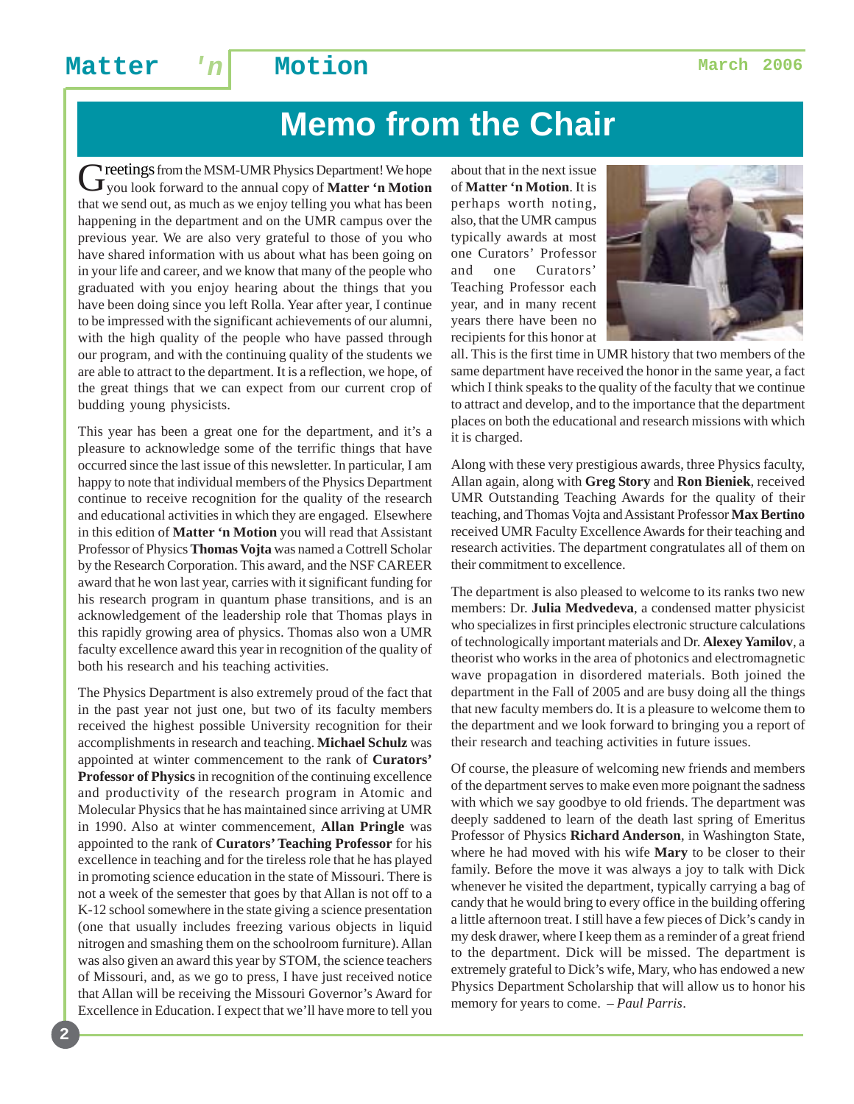# **Memo from the Chair**

Greetings from the MSM-UMR Physics Department! We hope<br> **G**you look forward to the annual copy of **Matter 'n Motion** that we send out, as much as we enjoy telling you what has been happening in the department and on the UMR campus over the previous year. We are also very grateful to those of you who have shared information with us about what has been going on in your life and career, and we know that many of the people who graduated with you enjoy hearing about the things that you have been doing since you left Rolla. Year after year, I continue to be impressed with the significant achievements of our alumni, with the high quality of the people who have passed through our program, and with the continuing quality of the students we are able to attract to the department. It is a reflection, we hope, of the great things that we can expect from our current crop of budding young physicists.

This year has been a great one for the department, and it's a pleasure to acknowledge some of the terrific things that have occurred since the last issue of this newsletter. In particular, I am happy to note that individual members of the Physics Department continue to receive recognition for the quality of the research and educational activities in which they are engaged. Elsewhere in this edition of **Matter 'n Motion** you will read that Assistant Professor of Physics **Thomas Vojta** was named a Cottrell Scholar by the Research Corporation. This award, and the NSF CAREER award that he won last year, carries with it significant funding for his research program in quantum phase transitions, and is an acknowledgement of the leadership role that Thomas plays in this rapidly growing area of physics. Thomas also won a UMR faculty excellence award this year in recognition of the quality of both his research and his teaching activities.

The Physics Department is also extremely proud of the fact that in the past year not just one, but two of its faculty members received the highest possible University recognition for their accomplishments in research and teaching. **Michael Schulz** was appointed at winter commencement to the rank of **Curators' Professor of Physics** in recognition of the continuing excellence and productivity of the research program in Atomic and Molecular Physics that he has maintained since arriving at UMR in 1990. Also at winter commencement, **Allan Pringle** was appointed to the rank of **Curators' Teaching Professor** for his excellence in teaching and for the tireless role that he has played in promoting science education in the state of Missouri. There is not a week of the semester that goes by that Allan is not off to a K-12 school somewhere in the state giving a science presentation (one that usually includes freezing various objects in liquid nitrogen and smashing them on the schoolroom furniture). Allan was also given an award this year by STOM, the science teachers of Missouri, and, as we go to press, I have just received notice that Allan will be receiving the Missouri Governor's Award for Excellence in Education. I expect that we'll have more to tell you about that in the next issue of **Matter 'n Motion**. It is perhaps worth noting, also, that the UMR campus typically awards at most one Curators' Professor and one Curators' Teaching Professor each year, and in many recent years there have been no recipients for this honor at



all. This is the first time in UMR history that two members of the same department have received the honor in the same year, a fact which I think speaks to the quality of the faculty that we continue to attract and develop, and to the importance that the department places on both the educational and research missions with which it is charged.

Along with these very prestigious awards, three Physics faculty, Allan again, along with **Greg Story** and **Ron Bieniek**, received UMR Outstanding Teaching Awards for the quality of their teaching, and Thomas Vojta and Assistant Professor **Max Bertino** received UMR Faculty Excellence Awards for their teaching and research activities. The department congratulates all of them on their commitment to excellence.

The department is also pleased to welcome to its ranks two new members: Dr. **Julia Medvedeva**, a condensed matter physicist who specializes in first principles electronic structure calculations of technologically important materials and Dr. **Alexey Yamilov**, a theorist who works in the area of photonics and electromagnetic wave propagation in disordered materials. Both joined the department in the Fall of 2005 and are busy doing all the things that new faculty members do. It is a pleasure to welcome them to the department and we look forward to bringing you a report of their research and teaching activities in future issues.

Of course, the pleasure of welcoming new friends and members of the department serves to make even more poignant the sadness with which we say goodbye to old friends. The department was deeply saddened to learn of the death last spring of Emeritus Professor of Physics **Richard Anderson**, in Washington State, where he had moved with his wife **Mary** to be closer to their family. Before the move it was always a joy to talk with Dick whenever he visited the department, typically carrying a bag of candy that he would bring to every office in the building offering a little afternoon treat. I still have a few pieces of Dick's candy in my desk drawer, where I keep them as a reminder of a great friend to the department. Dick will be missed. The department is extremely grateful to Dick's wife, Mary, who has endowed a new Physics Department Scholarship that will allow us to honor his memory for years to come. *– Paul Parris*.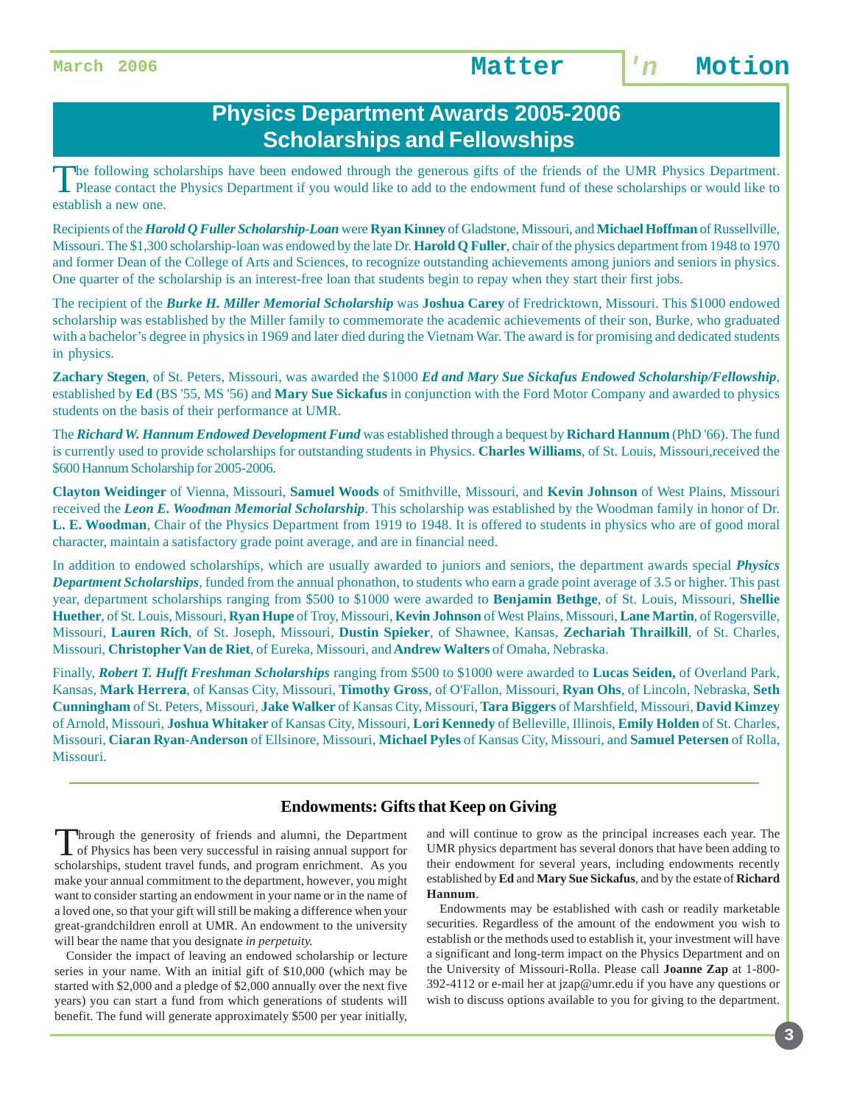### **Physics Department Awards 2005-2006 Scholarships and Fellowships**

The following scholarships have been endowed through the generous gifts of the friends of the UMR Physics Department. Please contact the Physics Department if you would like to add to the endowment fund of these scholarships or would like to establish a new one.

Recipients of the *Harold Q Fuller Scholarship-Loan* were **Ryan Kinney** of Gladstone, Missouri, and **Michael Hoffman** of Russellville, Missouri. The \$1,300 scholarship-loan was endowed by the late Dr. **Harold Q Fuller**, chair of the physics department from 1948 to 1970 and former Dean of the College of Arts and Sciences, to recognize outstanding achievements among juniors and seniors in physics. One quarter of the scholarship is an interest-free loan that students begin to repay when they start their first jobs.

The recipient of the *Burke H. Miller Memorial Scholarship* was **Joshua Carey** of Fredricktown, Missouri. This \$1000 endowed scholarship was established by the Miller family to commemorate the academic achievements of their son, Burke, who graduated with a bachelor's degree in physics in 1969 and later died during the Vietnam War. The award is for promising and dedicated students in physics.

**Zachary Stegen**, of St. Peters, Missouri, was awarded the \$1000 *Ed and Mary Sue Sickafus Endowed Scholarship/Fellowship*, established by **Ed** (BS '55, MS '56) and **Mary Sue Sickafus** in conjunction with the Ford Motor Company and awarded to physics students on the basis of their performance at UMR.

The *Richard W. Hannum Endowed Development Fund* was established through a bequest by **Richard Hannum** (PhD '66). The fund is currently used to provide scholarships for outstanding students in Physics. **Charles Williams**, of St. Louis, Missouri,received the \$600 Hannum Scholarship for 2005-2006.

**Clayton Weidinger** of Vienna, Missouri, **Samuel Woods** of Smithville, Missouri, and **Kevin Johnson** of West Plains, Missouri received the *Leon E. Woodman Memorial Scholarship*. This scholarship was established by the Woodman family in honor of Dr. **L. E. Woodman**, Chair of the Physics Department from 1919 to 1948. It is offered to students in physics who are of good moral character, maintain a satisfactory grade point average, and are in financial need.

In addition to endowed scholarships, which are usually awarded to juniors and seniors, the department awards special *Physics Department Scholarships*, funded from the annual phonathon, to students who earn a grade point average of 3.5 or higher. This past year, department scholarships ranging from \$500 to \$1000 were awarded to **Benjamin Bethge**, of St. Louis, Missouri, **Shellie Huether**, of St. Louis, Missouri, **Ryan Hupe** of Troy, Missouri, **Kevin Johnson** of West Plains, Missouri, **Lane Martin**, of Rogersville, Missouri, **Lauren Rich**, of St. Joseph, Missouri, **Dustin Spieker**, of Shawnee, Kansas, **Zechariah Thrailkill**, of St. Charles, Missouri, **Christopher Van de Riet**, of Eureka, Missouri, and **Andrew Walters** of Omaha, Nebraska.

Finally, *Robert T. Hufft Freshman Scholarships* ranging from \$500 to \$1000 were awarded to **Lucas Seiden,** of Overland Park, Kansas, **Mark Herrera**, of Kansas City, Missouri, **Timothy Gross**, of O'Fallon, Missouri, **Ryan Ohs**, of Lincoln, Nebraska, **Seth Cunningham** of St. Peters, Missouri, **Jake Walker** of Kansas City, Missouri, **Tara Biggers** of Marshfield, Missouri, **David Kimzey** of Arnold, Missouri, **Joshua Whitaker** of Kansas City, Missouri, **Lori Kennedy** of Belleville, Illinois, **Emily Holden** of St. Charles, Missouri, **Ciaran Ryan-Anderson** of Ellsinore, Missouri, **Michael Pyles** of Kansas City, Missouri, and **Samuel Petersen** of Rolla, Missouri.

#### **Endowments: Gifts that Keep on Giving**

Through the generosity of friends and alumni, the Department<br>of Physics has been very successful in raising annual support for scholarships, student travel funds, and program enrichment. As you make your annual commitment to the department, however, you might want to consider starting an endowment in your name or in the name of a loved one, so that your gift will still be making a difference when your great-grandchildren enroll at UMR. An endowment to the university will bear the name that you designate *in perpetuity.*

Consider the impact of leaving an endowed scholarship or lecture series in your name. With an initial gift of \$10,000 (which may be started with \$2,000 and a pledge of \$2,000 annually over the next five years) you can start a fund from which generations of students will benefit. The fund will generate approximately \$500 per year initially, and will continue to grow as the principal increases each year. The UMR physics department has several donors that have been adding to their endowment for several years, including endowments recently established by **Ed** and **Mary Sue Sickafus**, and by the estate of **Richard Hannum**.

 Endowments may be established with cash or readily marketable securities. Regardless of the amount of the endowment you wish to establish or the methods used to establish it, your investment will have a significant and long-term impact on the Physics Department and on the University of Missouri-Rolla. Please call **Joanne Zap** at 1-800- 392-4112 or e-mail her at jzap@umr.edu if you have any questions or wish to discuss options available to you for giving to the department.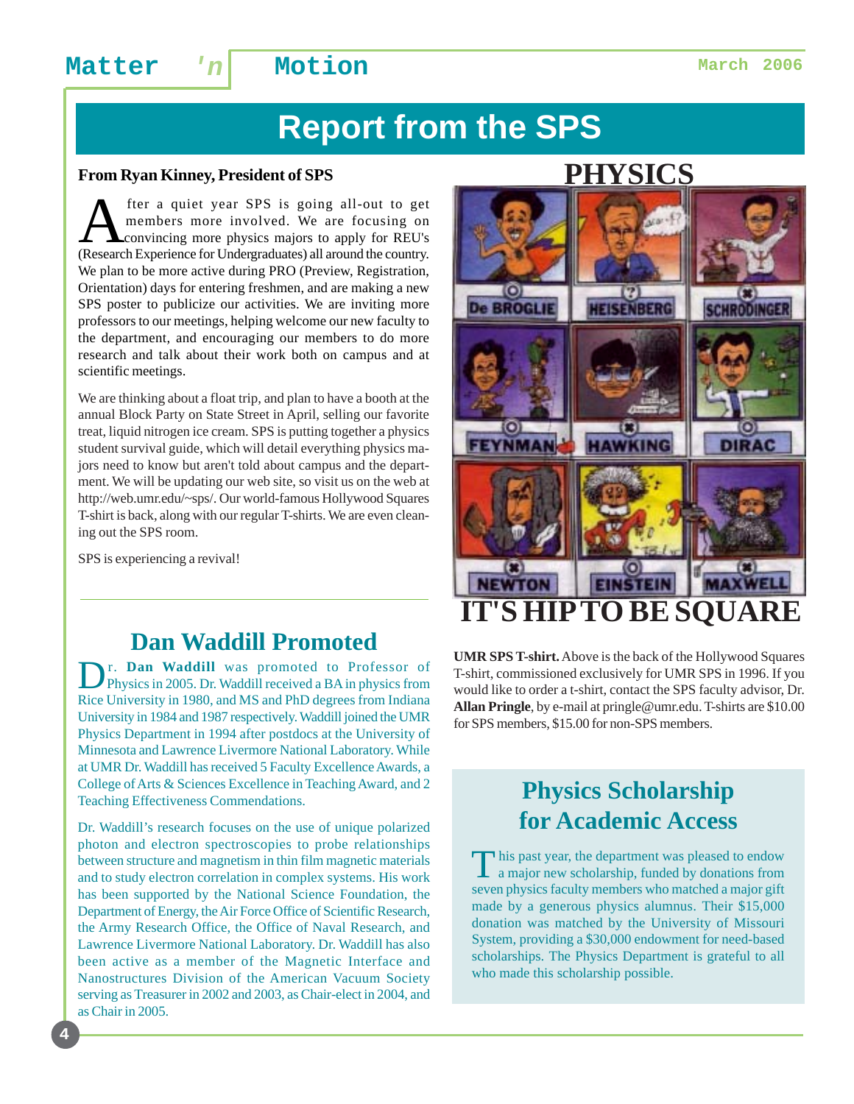## **Matter 'n Motion Matter March 2006**

# **Report from the SPS**

#### **From Ryan Kinney, President of SPS**

**A** fter a quiet year SPS is going all-out to get<br>members more involved. We are focusing on<br>convincing more physics majors to apply for REU's<br>(Research Experience for Undergraduates) all around the country members more involved. We are focusing on convincing more physics majors to apply for REU's (Research Experience for Undergraduates) all around the country. We plan to be more active during PRO (Preview, Registration, Orientation) days for entering freshmen, and are making a new SPS poster to publicize our activities. We are inviting more professors to our meetings, helping welcome our new faculty to the department, and encouraging our members to do more research and talk about their work both on campus and at scientific meetings.

We are thinking about a float trip, and plan to have a booth at the annual Block Party on State Street in April, selling our favorite treat, liquid nitrogen ice cream. SPS is putting together a physics student survival guide, which will detail everything physics majors need to know but aren't told about campus and the department. We will be updating our web site, so visit us on the web at http://web.umr.edu/~sps/. Our world-famous Hollywood Squares T-shirt is back, along with our regular T-shirts. We are even cleaning out the SPS room.

SPS is experiencing a revival!

**4**

### **Dan Waddill Promoted**

Dr. **Dan Waddill** was promoted to Professor of Physics in 2005. Dr. Waddill received a BA in physics from Rice University in 1980, and MS and PhD degrees from Indiana University in 1984 and 1987 respectively. Waddill joined the UMR Physics Department in 1994 after postdocs at the University of Minnesota and Lawrence Livermore National Laboratory. While at UMR Dr. Waddill has received 5 Faculty Excellence Awards, a College of Arts & Sciences Excellence in Teaching Award, and 2 Teaching Effectiveness Commendations.

Dr. Waddill's research focuses on the use of unique polarized photon and electron spectroscopies to probe relationships between structure and magnetism in thin film magnetic materials and to study electron correlation in complex systems. His work has been supported by the National Science Foundation, the Department of Energy, the Air Force Office of Scientific Research, the Army Research Office, the Office of Naval Research, and Lawrence Livermore National Laboratory. Dr. Waddill has also been active as a member of the Magnetic Interface and Nanostructures Division of the American Vacuum Society serving as Treasurer in 2002 and 2003, as Chair-elect in 2004, and as Chair in 2005.

## **PHYSICS**



**UMR SPS T-shirt.** Above is the back of the Hollywood Squares T-shirt, commissioned exclusively for UMR SPS in 1996. If you would like to order a t-shirt, contact the SPS faculty advisor, Dr. **Allan Pringle**, by e-mail at pringle@umr.edu. T-shirts are \$10.00 for SPS members, \$15.00 for non-SPS members.

## **Physics Scholarship for Academic Access**

This past year, the department was pleased to endow<br>a major new scholarship, funded by donations from seven physics faculty members who matched a major gift made by a generous physics alumnus. Their \$15,000 donation was matched by the University of Missouri System, providing a \$30,000 endowment for need-based scholarships. The Physics Department is grateful to all who made this scholarship possible.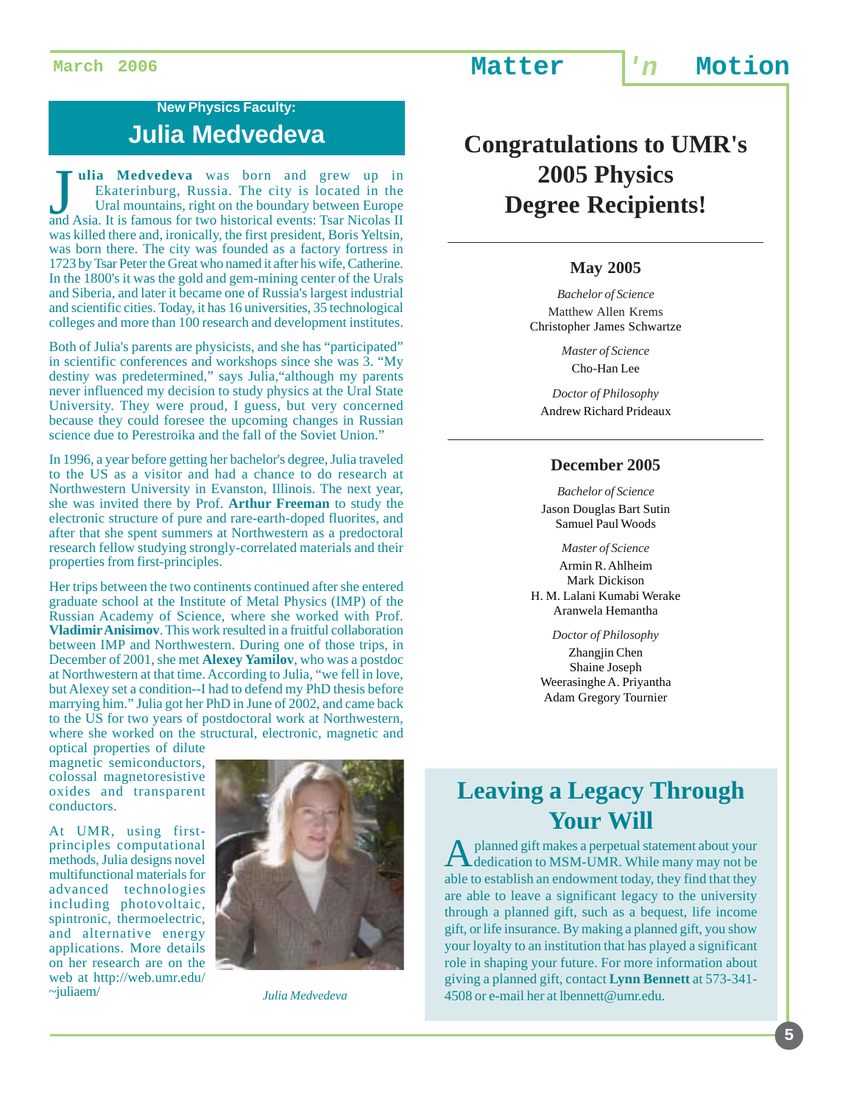### **New Physics Faculty: Julia Medvedeva**

Julia Medvedeva was born and grew up in<br>Ekaterinburg, Russia. The city is located in the<br>Ural mountains, right on the boundary between Europe<br>and Asia. It is famous for two historical events: Tsar Nicolas II **ulia Medvedeva** was born and grew up in Ekaterinburg, Russia. The city is located in the Ural mountains, right on the boundary between Europe was killed there and, ironically, the first president, Boris Yeltsin, was born there. The city was founded as a factory fortress in 1723 by Tsar Peter the Great who named it after his wife, Catherine. In the 1800's it was the gold and gem-mining center of the Urals and Siberia, and later it became one of Russia's largest industrial and scientific cities. Today, it has 16 universities, 35 technological colleges and more than 100 research and development institutes.

Both of Julia's parents are physicists, and she has "participated" in scientific conferences and workshops since she was 3. "My destiny was predetermined," says Julia,"although my parents never influenced my decision to study physics at the Ural State University. They were proud, I guess, but very concerned because they could foresee the upcoming changes in Russian science due to Perestroika and the fall of the Soviet Union."

In 1996, a year before getting her bachelor's degree, Julia traveled to the US as a visitor and had a chance to do research at Northwestern University in Evanston, Illinois. The next year, she was invited there by Prof. **Arthur Freeman** to study the electronic structure of pure and rare-earth-doped fluorites, and after that she spent summers at Northwestern as a predoctoral research fellow studying strongly-correlated materials and their properties from first-principles.

Her trips between the two continents continued after she entered graduate school at the Institute of Metal Physics (IMP) of the Russian Academy of Science, where she worked with Prof. **Vladimir Anisimov**. This work resulted in a fruitful collaboration between IMP and Northwestern. During one of those trips, in December of 2001, she met **Alexey Yamilov**, who was a postdoc at Northwestern at that time. According to Julia, "we fell in love, but Alexey set a condition--I had to defend my PhD thesis before marrying him." Julia got her PhD in June of 2002, and came back to the US for two years of postdoctoral work at Northwestern, where she worked on the structural, electronic, magnetic and

optical properties of dilute magnetic semiconductors, colossal magnetoresistive oxides and transparent conductors.

At UMR, using firstprinciples computational methods, Julia designs novel multifunctional materials for advanced technologies including photovoltaic, spintronic, thermoelectric, and alternative energy applications. More details on her research are on the web at http://web.umr.edu/ ~juliaem/



*Julia Medvedeva*

## **Congratulations to UMR's 2005 Physics Degree Recipients!**

#### **May 2005**

*Bachelor of Science* Matthew Allen Krems Christopher James Schwartze

> *Master of Science* Cho-Han Lee

*Doctor of Philosophy* Andrew Richard Prideaux

#### **December 2005**

*Bachelor of Science* Jason Douglas Bart Sutin Samuel Paul Woods

*Master of Science* Armin R. Ahlheim Mark Dickison H. M. Lalani Kumabi Werake Aranwela Hemantha

*Doctor of Philosophy* Zhangjin Chen Shaine Joseph Weerasinghe A. Priyantha Adam Gregory Tournier

## **Leaving a Legacy Through Your Will**

A planned gift makes a perpetual statement about your dedication to MSM-UMR. While many may not be able to establish an endowment today, they find that they are able to leave a significant legacy to the university through a planned gift, such as a bequest, life income gift, or life insurance. By making a planned gift, you show your loyalty to an institution that has played a significant role in shaping your future. For more information about giving a planned gift, contact **Lynn Bennett** at 573-341- 4508 or e-mail her at lbennett@umr.edu.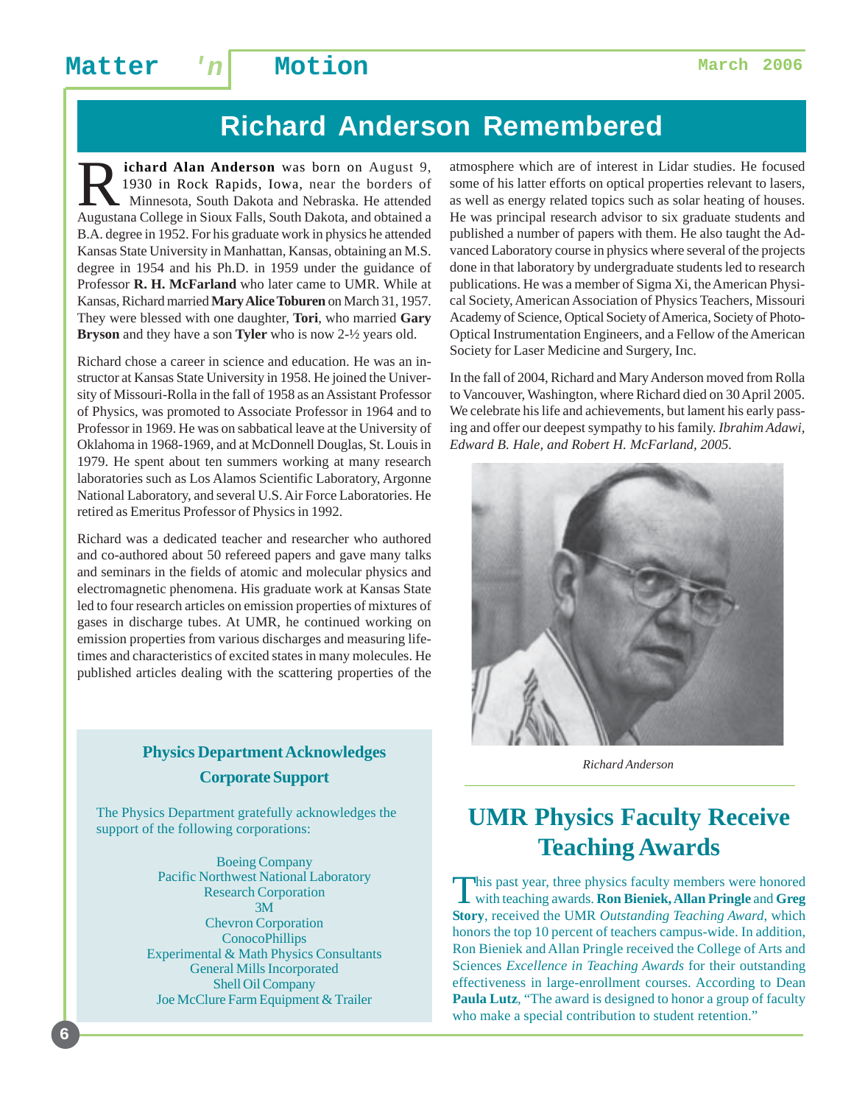## **Richard Anderson Remembered**

**R** ichard Alan Anderson was born on August 9,<br>1930 in Rock Rapids, Iowa, near the borders of<br>Minnesota, South Dakota and Nebraska. He attended<br>Augustana College in Sioux Falls, South Dakota and obtained a 1930 in Rock Rapids, Iowa, near the borders of Minnesota, South Dakota and Nebraska. He attended Augustana College in Sioux Falls, South Dakota, and obtained a B.A. degree in 1952. For his graduate work in physics he attended Kansas State University in Manhattan, Kansas, obtaining an M.S. degree in 1954 and his Ph.D. in 1959 under the guidance of Professor **R. H. McFarland** who later came to UMR. While at Kansas, Richard married **Mary Alice Toburen** on March 31, 1957. They were blessed with one daughter, **Tori**, who married **Gary Bryson** and they have a son **Tyler** who is now 2-½ years old.

Richard chose a career in science and education. He was an instructor at Kansas State University in 1958. He joined the University of Missouri-Rolla in the fall of 1958 as an Assistant Professor of Physics, was promoted to Associate Professor in 1964 and to Professor in 1969. He was on sabbatical leave at the University of Oklahoma in 1968-1969, and at McDonnell Douglas, St. Louis in 1979. He spent about ten summers working at many research laboratories such as Los Alamos Scientific Laboratory, Argonne National Laboratory, and several U.S. Air Force Laboratories. He retired as Emeritus Professor of Physics in 1992.

Richard was a dedicated teacher and researcher who authored and co-authored about 50 refereed papers and gave many talks and seminars in the fields of atomic and molecular physics and electromagnetic phenomena. His graduate work at Kansas State led to four research articles on emission properties of mixtures of gases in discharge tubes. At UMR, he continued working on emission properties from various discharges and measuring lifetimes and characteristics of excited states in many molecules. He published articles dealing with the scattering properties of the

#### **Physics Department Acknowledges Corporate Support**

The Physics Department gratefully acknowledges the support of the following corporations:

> Boeing Company Pacific Northwest National Laboratory Research Corporation 3M Chevron Corporation **ConocoPhillips** Experimental & Math Physics Consultants General Mills Incorporated Shell Oil Company Joe McClure Farm Equipment & Trailer

atmosphere which are of interest in Lidar studies. He focused some of his latter efforts on optical properties relevant to lasers, as well as energy related topics such as solar heating of houses. He was principal research advisor to six graduate students and published a number of papers with them. He also taught the Advanced Laboratory course in physics where several of the projects done in that laboratory by undergraduate students led to research publications. He was a member of Sigma Xi, the American Physical Society, American Association of Physics Teachers, Missouri Academy of Science, Optical Society of America, Society of Photo-Optical Instrumentation Engineers, and a Fellow of the American Society for Laser Medicine and Surgery, Inc.

In the fall of 2004, Richard and Mary Anderson moved from Rolla to Vancouver, Washington, where Richard died on 30 April 2005. We celebrate his life and achievements, but lament his early passing and offer our deepest sympathy to his family. *Ibrahim Adawi, Edward B. Hale, and Robert H. McFarland, 2005.*



*Richard Anderson*

## **UMR Physics Faculty Receive Teaching Awards**

This past year, three physics faculty members were honored with teaching awards. **Ron Bieniek, Allan Pringle** and **Greg Story**, received the UMR *Outstanding Teaching Award*, which honors the top 10 percent of teachers campus-wide. In addition, Ron Bieniek and Allan Pringle received the College of Arts and Sciences *Excellence in Teaching Awards* for their outstanding effectiveness in large-enrollment courses. According to Dean **Paula Lutz**, "The award is designed to honor a group of faculty who make a special contribution to student retention."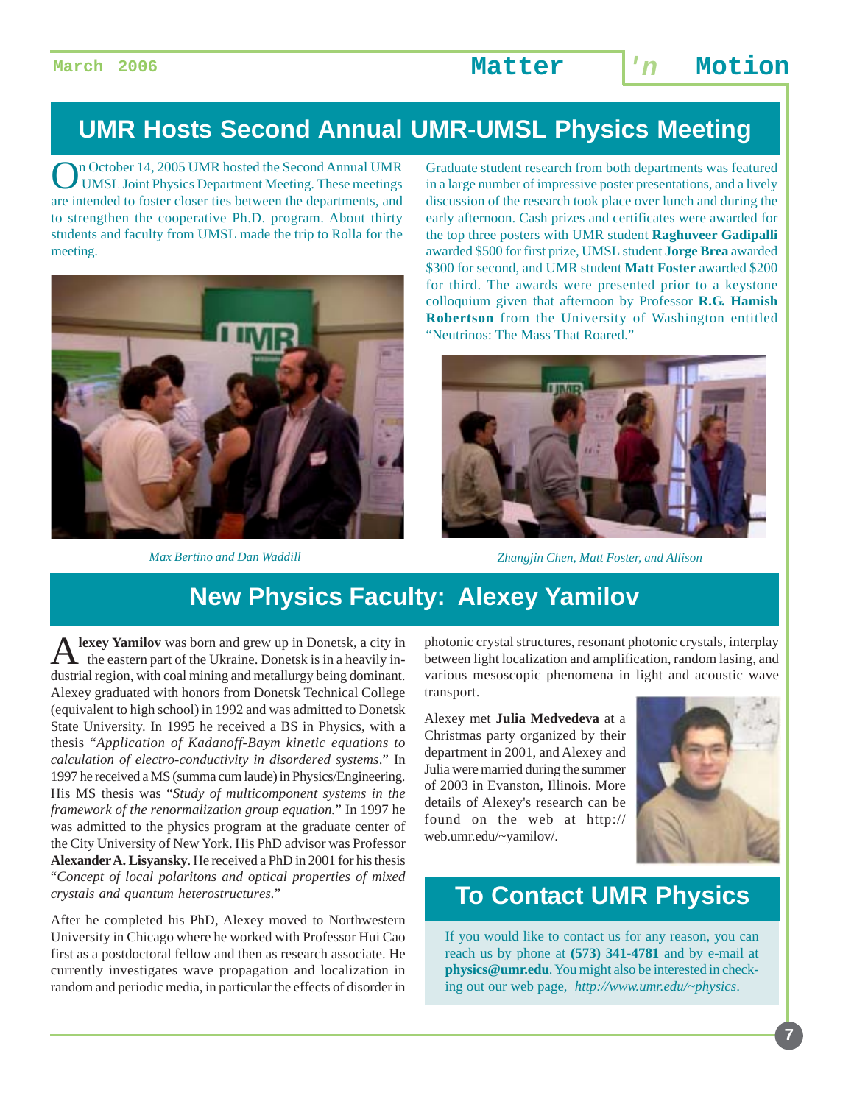### **UMR Hosts Second Annual UMR-UMSL Physics Meeting**

On October 14, 2005 UMR hosted the Second Annual UMR<br>UMSL Joint Physics Department Meeting. These meetings are intended to foster closer ties between the departments, and to strengthen the cooperative Ph.D. program. About thirty students and faculty from UMSL made the trip to Rolla for the meeting.



Graduate student research from both departments was featured in a large number of impressive poster presentations, and a lively discussion of the research took place over lunch and during the early afternoon. Cash prizes and certificates were awarded for the top three posters with UMR student **Raghuveer Gadipalli** awarded \$500 for first prize, UMSL student **Jorge Brea** awarded \$300 for second, and UMR student **Matt Foster** awarded \$200 for third. The awards were presented prior to a keystone colloquium given that afternoon by Professor **R.G. Hamish Robertson** from the University of Washington entitled "Neutrinos: The Mass That Roared."



*Max Bertino and Dan Waddill Zhangjin Chen, Matt Foster, and Allison*

## **New Physics Faculty: Alexey Yamilov**

lexey Yamilov was born and grew up in Donetsk, a city in the eastern part of the Ukraine. Donetsk is in a heavily industrial region, with coal mining and metallurgy being dominant. Alexey graduated with honors from Donetsk Technical College (equivalent to high school) in 1992 and was admitted to Donetsk State University. In 1995 he received a BS in Physics, with a thesis "*Application of Kadanoff-Baym kinetic equations to calculation of electro-conductivity in disordered systems*." In 1997 he received a MS (summa cum laude) in Physics/Engineering. His MS thesis was "*Study of multicomponent systems in the framework of the renormalization group equation.*" In 1997 he was admitted to the physics program at the graduate center of the City University of New York. His PhD advisor was Professor **Alexander A. Lisyansky**. He received a PhD in 2001 for his thesis "*Concept of local polaritons and optical properties of mixed crystals and quantum heterostructures.*"

After he completed his PhD, Alexey moved to Northwestern University in Chicago where he worked with Professor Hui Cao first as a postdoctoral fellow and then as research associate. He currently investigates wave propagation and localization in random and periodic media, in particular the effects of disorder in

photonic crystal structures, resonant photonic crystals, interplay between light localization and amplification, random lasing, and various mesoscopic phenomena in light and acoustic wave transport.

Alexey met **Julia Medvedeva** at a Christmas party organized by their department in 2001, and Alexey and Julia were married during the summer of 2003 in Evanston, Illinois. More details of Alexey's research can be found on the web at http:// web.umr.edu/~yamilov/.



**7**

## **To Contact UMR Physics**

If you would like to contact us for any reason, you can reach us by phone at **(573) 341-4781** and by e-mail at **physics@umr.edu**. You might also be interested in checking out our web page, *http://www.umr.edu/~physics*.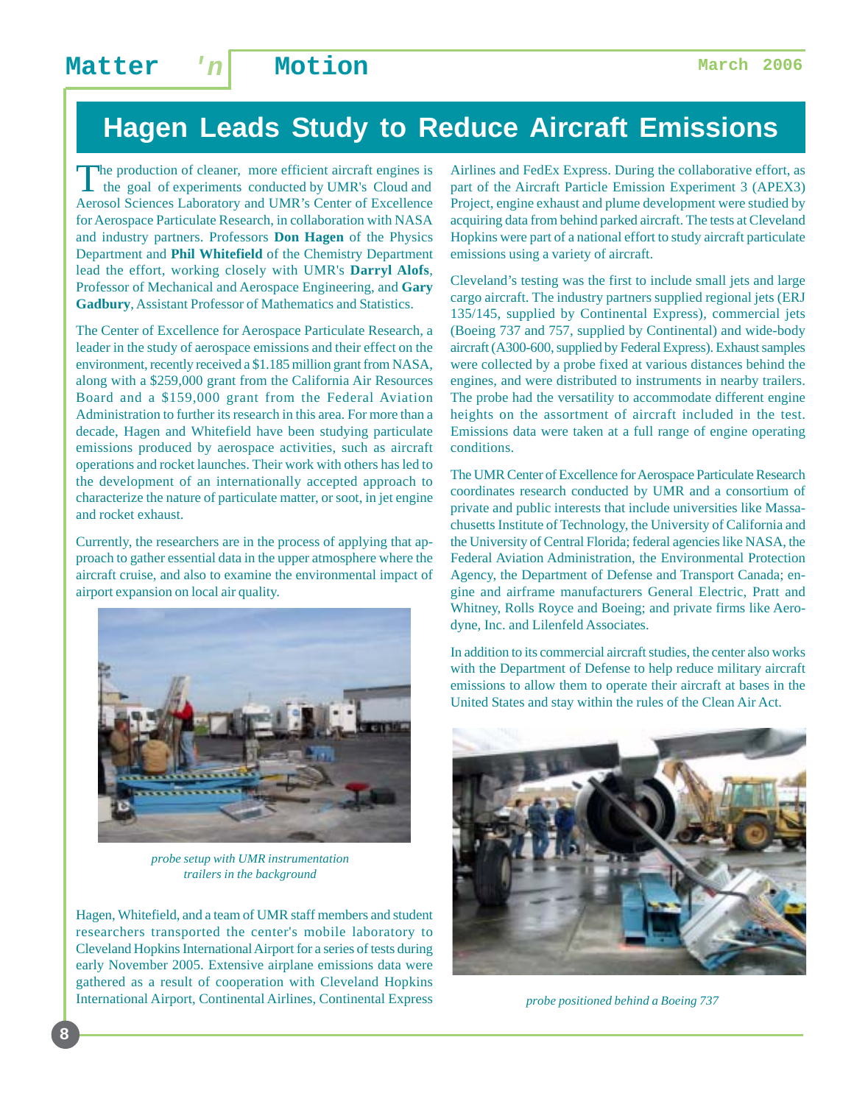## **Hagen Leads Study to Reduce Aircraft Emissions**

The production of cleaner, more efficient aircraft engines is the goal of experiments conducted by UMR's Cloud and Aerosol Sciences Laboratory and UMR's Center of Excellence for Aerospace Particulate Research, in collaboration with NASA and industry partners. Professors **Don Hagen** of the Physics Department and **Phil Whitefield** of the Chemistry Department lead the effort, working closely with UMR's **Darryl Alofs**, Professor of Mechanical and Aerospace Engineering, and **Gary Gadbury**, Assistant Professor of Mathematics and Statistics.

The Center of Excellence for Aerospace Particulate Research, a leader in the study of aerospace emissions and their effect on the environment, recently received a \$1.185 million grant from NASA, along with a \$259,000 grant from the California Air Resources Board and a \$159,000 grant from the Federal Aviation Administration to further its research in this area. For more than a decade, Hagen and Whitefield have been studying particulate emissions produced by aerospace activities, such as aircraft operations and rocket launches. Their work with others has led to the development of an internationally accepted approach to characterize the nature of particulate matter, or soot, in jet engine and rocket exhaust.

Currently, the researchers are in the process of applying that approach to gather essential data in the upper atmosphere where the aircraft cruise, and also to examine the environmental impact of airport expansion on local air quality.



*probe setup with UMR instrumentation trailers in the background*

Hagen, Whitefield, and a team of UMR staff members and student researchers transported the center's mobile laboratory to Cleveland Hopkins International Airport for a series of tests during early November 2005. Extensive airplane emissions data were gathered as a result of cooperation with Cleveland Hopkins International Airport, Continental Airlines, Continental Express Airlines and FedEx Express. During the collaborative effort, as part of the Aircraft Particle Emission Experiment 3 (APEX3) Project, engine exhaust and plume development were studied by acquiring data from behind parked aircraft. The tests at Cleveland Hopkins were part of a national effort to study aircraft particulate emissions using a variety of aircraft.

Cleveland's testing was the first to include small jets and large cargo aircraft. The industry partners supplied regional jets (ERJ 135/145, supplied by Continental Express), commercial jets (Boeing 737 and 757, supplied by Continental) and wide-body aircraft (A300-600, supplied by Federal Express). Exhaust samples were collected by a probe fixed at various distances behind the engines, and were distributed to instruments in nearby trailers. The probe had the versatility to accommodate different engine heights on the assortment of aircraft included in the test. Emissions data were taken at a full range of engine operating conditions.

The UMR Center of Excellence for Aerospace Particulate Research coordinates research conducted by UMR and a consortium of private and public interests that include universities like Massachusetts Institute of Technology, the University of California and the University of Central Florida; federal agencies like NASA, the Federal Aviation Administration, the Environmental Protection Agency, the Department of Defense and Transport Canada; engine and airframe manufacturers General Electric, Pratt and Whitney, Rolls Royce and Boeing; and private firms like Aerodyne, Inc. and Lilenfeld Associates.

In addition to its commercial aircraft studies, the center also works with the Department of Defense to help reduce military aircraft emissions to allow them to operate their aircraft at bases in the United States and stay within the rules of the Clean Air Act.



*probe positioned behind a Boeing 737*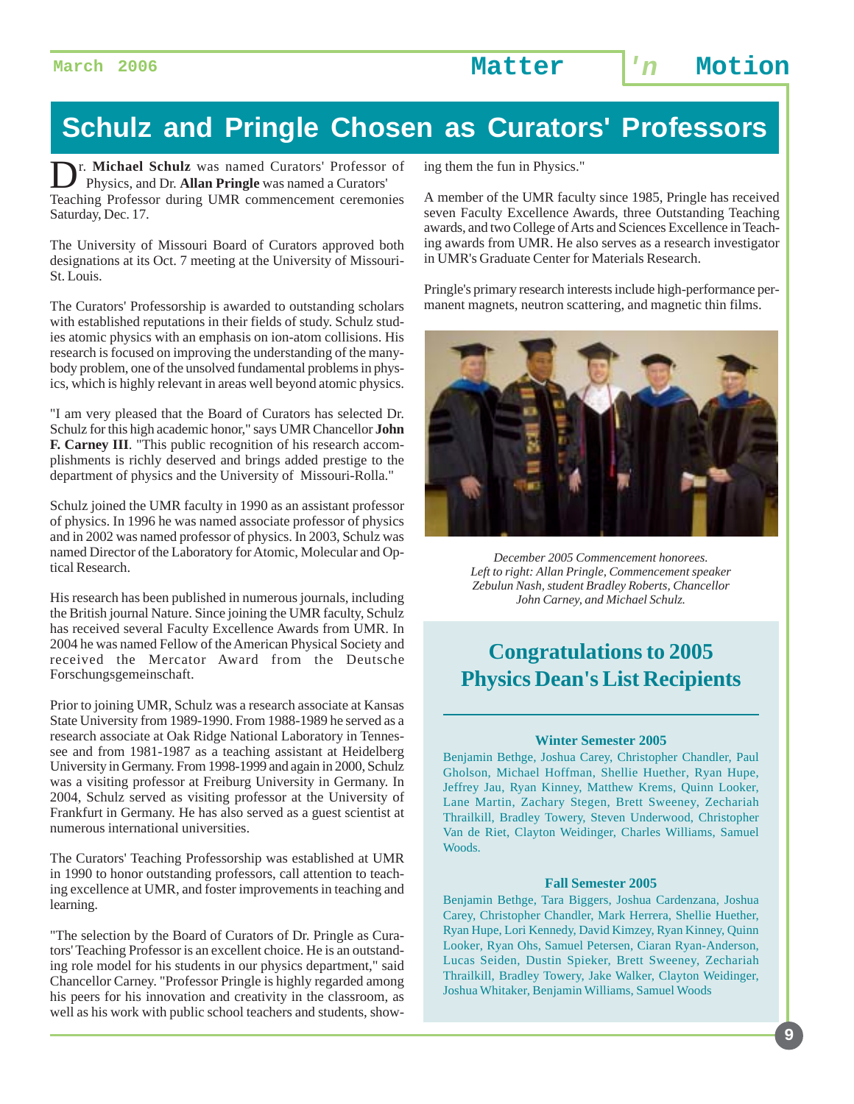**March 2006 Matter 'n Motion**

## **Schulz and Pringle Chosen as Curators' Professors**

r. Michael Schulz was named Curators' Professor of Physics, and Dr. **Allan Pringle** was named a Curators' Teaching Professor during UMR commencement ceremonies Saturday, Dec. 17.

The University of Missouri Board of Curators approved both designations at its Oct. 7 meeting at the University of Missouri-St. Louis.

The Curators' Professorship is awarded to outstanding scholars with established reputations in their fields of study. Schulz studies atomic physics with an emphasis on ion-atom collisions. His research is focused on improving the understanding of the manybody problem, one of the unsolved fundamental problems in physics, which is highly relevant in areas well beyond atomic physics.

"I am very pleased that the Board of Curators has selected Dr. Schulz for this high academic honor," says UMR Chancellor **John F. Carney III**. "This public recognition of his research accomplishments is richly deserved and brings added prestige to the department of physics and the University of Missouri-Rolla."

Schulz joined the UMR faculty in 1990 as an assistant professor of physics. In 1996 he was named associate professor of physics and in 2002 was named professor of physics. In 2003, Schulz was named Director of the Laboratory for Atomic, Molecular and Optical Research.

His research has been published in numerous journals, including the British journal Nature. Since joining the UMR faculty, Schulz has received several Faculty Excellence Awards from UMR. In 2004 he was named Fellow of the American Physical Society and received the Mercator Award from the Deutsche Forschungsgemeinschaft.

Prior to joining UMR, Schulz was a research associate at Kansas State University from 1989-1990. From 1988-1989 he served as a research associate at Oak Ridge National Laboratory in Tennessee and from 1981-1987 as a teaching assistant at Heidelberg University in Germany. From 1998-1999 and again in 2000, Schulz was a visiting professor at Freiburg University in Germany. In 2004, Schulz served as visiting professor at the University of Frankfurt in Germany. He has also served as a guest scientist at numerous international universities.

The Curators' Teaching Professorship was established at UMR in 1990 to honor outstanding professors, call attention to teaching excellence at UMR, and foster improvements in teaching and learning.

"The selection by the Board of Curators of Dr. Pringle as Curators' Teaching Professor is an excellent choice. He is an outstanding role model for his students in our physics department," said Chancellor Carney. "Professor Pringle is highly regarded among his peers for his innovation and creativity in the classroom, as well as his work with public school teachers and students, showing them the fun in Physics."

A member of the UMR faculty since 1985, Pringle has received seven Faculty Excellence Awards, three Outstanding Teaching awards, and two College of Arts and Sciences Excellence in Teaching awards from UMR. He also serves as a research investigator in UMR's Graduate Center for Materials Research.

Pringle's primary research interests include high-performance permanent magnets, neutron scattering, and magnetic thin films.



*December 2005 Commencement honorees. Left to right: Allan Pringle, Commencement speaker Zebulun Nash, student Bradley Roberts, Chancellor John Carney, and Michael Schulz.*

### **Congratulations to 2005 Physics Dean's List Recipients**

#### **Winter Semester 2005**

Benjamin Bethge, Joshua Carey, Christopher Chandler, Paul Gholson, Michael Hoffman, Shellie Huether, Ryan Hupe, Jeffrey Jau, Ryan Kinney, Matthew Krems, Quinn Looker, Lane Martin, Zachary Stegen, Brett Sweeney, Zechariah Thrailkill, Bradley Towery, Steven Underwood, Christopher Van de Riet, Clayton Weidinger, Charles Williams, Samuel Woods.

#### **Fall Semester 2005**

Benjamin Bethge, Tara Biggers, Joshua Cardenzana, Joshua Carey, Christopher Chandler, Mark Herrera, Shellie Huether, Ryan Hupe, Lori Kennedy, David Kimzey, Ryan Kinney, Quinn Looker, Ryan Ohs, Samuel Petersen, Ciaran Ryan-Anderson, Lucas Seiden, Dustin Spieker, Brett Sweeney, Zechariah Thrailkill, Bradley Towery, Jake Walker, Clayton Weidinger, Joshua Whitaker, Benjamin Williams, Samuel Woods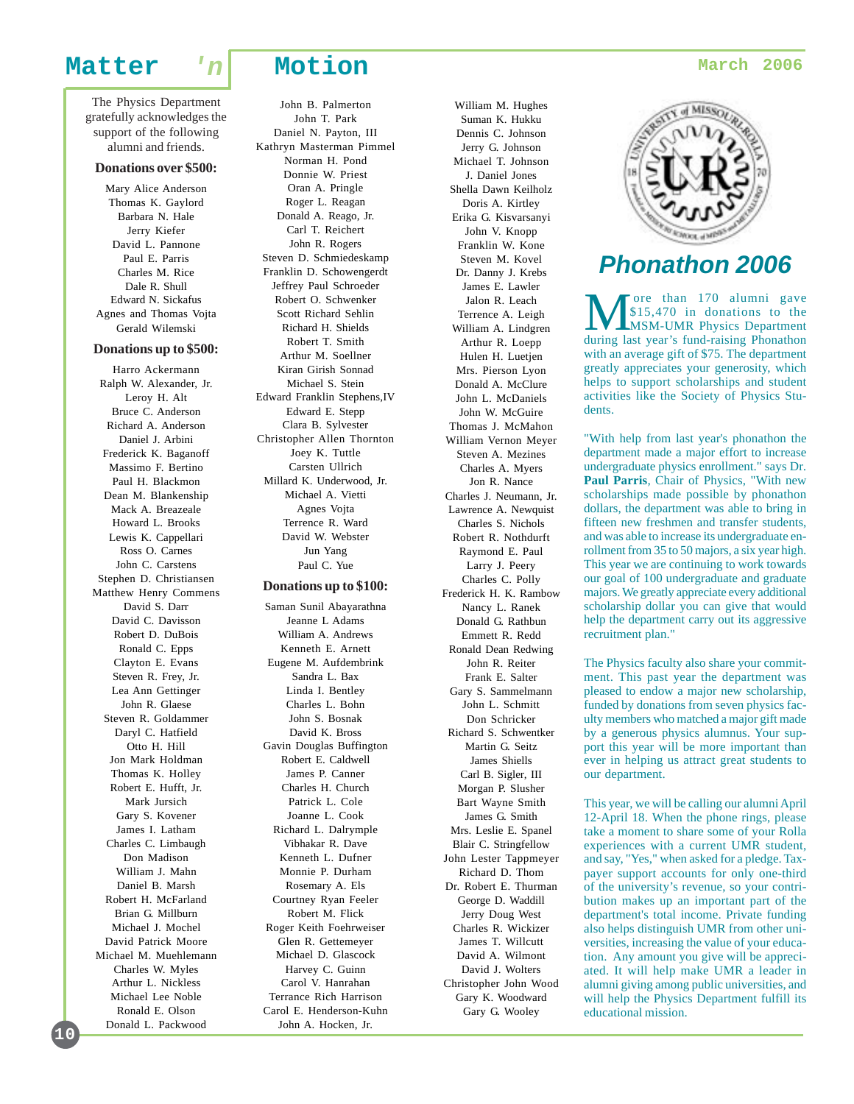The Physics Department gratefully acknowledges the support of the following alumni and friends.

#### **Donations over \$500:**

Mary Alice Anderson Thomas K. Gaylord Barbara N. Hale Jerry Kiefer David L. Pannone Paul E. Parris Charles M. Rice Dale R. Shull Edward N. Sickafus Agnes and Thomas Vojta Gerald Wilemski

#### **Donations up to \$500:**

Harro Ackermann Ralph W. Alexander, Jr. Leroy H. Alt Bruce C. Anderson Richard A. Anderson Daniel J. Arbini Frederick K. Baganoff Massimo F. Bertino Paul H. Blackmon Dean M. Blankenship Mack A. Breazeale Howard L. Brooks Lewis K. Cappellari Ross O. Carnes John C. Carstens Stephen D. Christiansen Matthew Henry Commens David S. Darr David C. Davisson Robert D. DuBois Ronald C. Epps Clayton E. Evans Steven R. Frey, Jr. Lea Ann Gettinger John R. Glaese Steven R. Goldammer Daryl C. Hatfield Otto H. Hill Jon Mark Holdman Thomas K. Holley Robert E. Hufft, Jr. Mark Jursich Gary S. Kovener James I. Latham Charles C. Limbaugh Don Madison William J. Mahn Daniel B. Marsh Robert H. McFarland Brian G. Millburn Michael J. Mochel David Patrick Moore Michael M. Muehlemann Charles W. Myles Arthur L. Nickless Michael Lee Noble Ronald E. Olson Donald L. Packwood

John B. Palmerton John T. Park Daniel N. Payton, III Kathryn Masterman Pimmel Norman H. Pond Donnie W. Priest Oran A. Pringle Roger L. Reagan Donald A. Reago, Jr. Carl T. Reichert John R. Rogers Steven D. Schmiedeskamp Franklin D. Schowengerdt Jeffrey Paul Schroeder Robert O. Schwenker Scott Richard Sehlin Richard H. Shields Robert T. Smith Arthur M. Soellner Kiran Girish Sonnad Michael S. Stein Edward Franklin Stephens,IV Edward E. Stepp Clara B. Sylvester Christopher Allen Thornton Joey K. Tuttle Carsten Ullrich Millard K. Underwood, Jr. Michael A. Vietti Agnes Vojta Terrence R. Ward David W. Webster Jun Yang Paul C. Yue

#### **Donations up to \$100:**

Saman Sunil Abayarathna Jeanne L Adams William A. Andrews Kenneth E. Arnett Eugene M. Aufdembrink Sandra L. Bax Linda I. Bentley Charles L. Bohn John S. Bosnak David K. Bross Gavin Douglas Buffington Robert E. Caldwell James P. Canner Charles H. Church Patrick L. Cole Joanne L. Cook Richard L. Dalrymple Vibhakar R. Dave Kenneth L. Dufner Monnie P. Durham Rosemary A. Els Courtney Ryan Feeler Robert M. Flick Roger Keith Foehrweiser Glen R. Gettemeyer Michael D. Glascock Harvey C. Guinn Carol V. Hanrahan Terrance Rich Harrison Carol E. Henderson-Kuhn John A. Hocken, Jr.

William M. Hughes Suman K. Hukku Dennis C. Johnson Jerry G. Johnson Michael T. Johnson J. Daniel Jones Shella Dawn Keilholz Doris A. Kirtley Erika G. Kisvarsanyi John V. Knopp Franklin W. Kone Steven M. Kovel Dr. Danny J. Krebs James E. Lawler Jalon R. Leach Terrence A. Leigh William A. Lindgren Arthur R. Loepp Hulen H. Luetjen Mrs. Pierson Lyon Donald A. McClure John L. McDaniels John W. McGuire Thomas J. McMahon William Vernon Meyer Steven A. Mezines Charles A. Myers Jon R. Nance Charles J. Neumann, Jr. Lawrence A. Newquist Charles S. Nichols Robert R. Nothdurft Raymond E. Paul Larry J. Peery Charles C. Polly Frederick H. K. Rambow Nancy L. Ranek Donald G. Rathbun Emmett R. Redd Ronald Dean Redwing John R. Reiter Frank E. Salter Gary S. Sammelmann John L. Schmitt Don Schricker Richard S. Schwentker Martin G. Seitz James Shiells Carl B. Sigler, III Morgan P. Slusher Bart Wayne Smith James G. Smith Mrs. Leslie E. Spanel Blair C. Stringfellow John Lester Tappmeyer Richard D. Thom Dr. Robert E. Thurman George D. Waddill Jerry Doug West Charles R. Wickizer James T. Willcutt David A. Wilmont David J. Wolters Christopher John Wood Gary K. Woodward

Gary G. Wooley



### **Phonathon 2006**

ore than 170 alumni gave \$15,470 in donations to the MSM-UMR Physics Department during last year's fund-raising Phonathon with an average gift of \$75. The department greatly appreciates your generosity, which helps to support scholarships and student activities like the Society of Physics Students.

"With help from last year's phonathon the department made a major effort to increase undergraduate physics enrollment." says Dr*.* **Paul Parris***,* Chair of Physics, "With new scholarships made possible by phonathon dollars, the department was able to bring in fifteen new freshmen and transfer students, and was able to increase its undergraduate enrollment from 35 to 50 majors, a six year high. This year we are continuing to work towards our goal of 100 undergraduate and graduate majors. We greatly appreciate every additional scholarship dollar you can give that would help the department carry out its aggressive recruitment plan."

The Physics faculty also share your commitment. This past year the department was pleased to endow a major new scholarship, funded by donations from seven physics faculty members who matched a major gift made by a generous physics alumnus. Your support this year will be more important than ever in helping us attract great students to our department.

This year, we will be calling our alumni April 12-April 18. When the phone rings, please take a moment to share some of your Rolla experiences with a current UMR student, and say, "Yes," when asked for a pledge. Taxpayer support accounts for only one-third of the university's revenue, so your contribution makes up an important part of the department's total income. Private funding also helps distinguish UMR from other universities, increasing the value of your education. Any amount you give will be appreciated. It will help make UMR a leader in alumni giving among public universities, and will help the Physics Department fulfill its educational mission.

**10**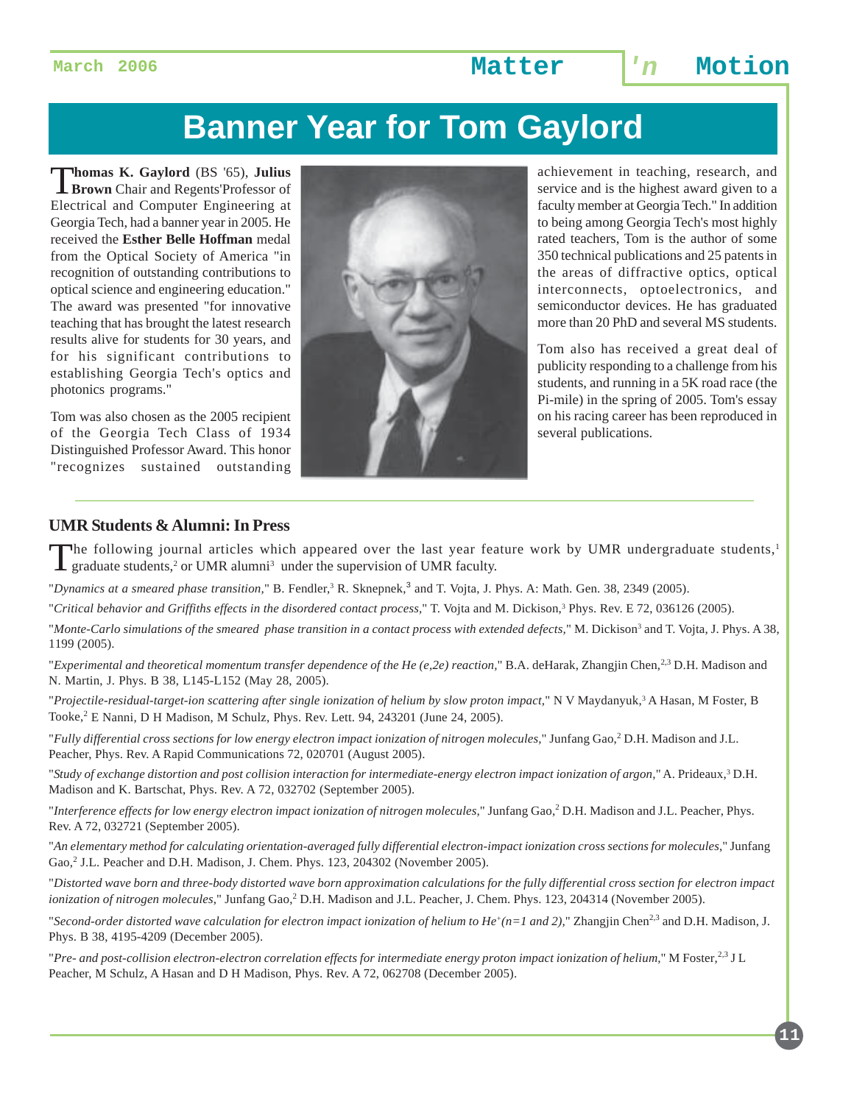**March 2006 Matter 'n Motion**

# **Banner Year for Tom Gaylord**

T**homas K. Gaylord** (BS '65), **Julius Brown** Chair and Regents'Professor of Electrical and Computer Engineering at Georgia Tech, had a banner year in 2005. He received the **Esther Belle Hoffman** medal from the Optical Society of America "in recognition of outstanding contributions to optical science and engineering education." The award was presented "for innovative teaching that has brought the latest research results alive for students for 30 years, and for his significant contributions to establishing Georgia Tech's optics and photonics programs."

Tom was also chosen as the 2005 recipient of the Georgia Tech Class of 1934 Distinguished Professor Award. This honor "recognizes sustained outstanding



achievement in teaching, research, and service and is the highest award given to a faculty member at Georgia Tech." In addition to being among Georgia Tech's most highly rated teachers, Tom is the author of some 350 technical publications and 25 patents in the areas of diffractive optics, optical interconnects, optoelectronics, and semiconductor devices. He has graduated more than 20 PhD and several MS students.

Tom also has received a great deal of publicity responding to a challenge from his students, and running in a 5K road race (the Pi-mile) in the spring of 2005. Tom's essay on his racing career has been reproduced in several publications.

#### **UMR Students & Alumni: In Press**

The following journal articles which appeared over the last year feature work by UMR undergraduate students,<sup>1</sup>  $\blacktriangle$  graduate students,<sup>2</sup> or UMR alumni<sup>3</sup> under the supervision of UMR faculty.

"*Dynamics at a smeared phase transition*," B. Fendler,<sup>3</sup> R. Sknepnek,<sup>3</sup> and T. Vojta, J. Phys. A: Math. Gen. 38, 2349 (2005).

"Critical behavior and Griffiths effects in the disordered contact process," T. Vojta and M. Dickison,<sup>3</sup> Phys. Rev. E 72, 036126 (2005).

"Monte-Carlo simulations of the smeared phase transition in a contact process with extended defects," M. Dickison<sup>3</sup> and T. Vojta, J. Phys. A 38, 1199 (2005).

"*Experimental and theoretical momentum transfer dependence of the He (e,2e) reaction*," B.A. deHarak, Zhangjin Chen,<sup>2,3</sup> D.H. Madison and N. Martin, J. Phys. B 38, L145-L152 (May 28, 2005).

"Projectile-residual-target-ion scattering after single ionization of helium by slow proton impact," N V Maydanyuk,<sup>3</sup> A Hasan, M Foster, B Tooke,<sup>2</sup> E Nanni, D H Madison, M Schulz, Phys. Rev. Lett. 94, 243201 (June 24, 2005).

"*Fully differential cross sections for low energy electron impact ionization of nitrogen molecules*," Junfang Gao,<sup>2</sup> D.H. Madison and J.L. Peacher, Phys. Rev. A Rapid Communications 72, 020701 (August 2005).

"*Study of exchange distortion and post collision interaction for intermediate-energy electron impact ionization of argon,*" A. Prideaux,3 D.H. Madison and K. Bartschat, Phys. Rev. A 72, 032702 (September 2005).

"Interference effects for low energy electron impact ionization of nitrogen molecules," Junfang Gao,<sup>2</sup> D.H. Madison and J.L. Peacher, Phys. Rev. A 72, 032721 (September 2005).

"*An elementary method for calculating orientation-averaged fully differential electron-impact ionization cross sections for molecules*," Junfang Gao,<sup>2</sup> J.L. Peacher and D.H. Madison, J. Chem. Phys. 123, 204302 (November 2005).

"*Distorted wave born and three-body distorted wave born approximation calculations for the fully differential cross section for electron impact* ionization of nitrogen molecules," Junfang Gao,<sup>2</sup> D.H. Madison and J.L. Peacher, J. Chem. Phys. 123, 204314 (November 2005).

"*Second-order distorted wave calculation for electron impact ionization of helium to He<sup>+</sup>(n=1 and 2)," Zhangjin Chen<sup>2,3</sup> and D.H. Madison, J.* Phys. B 38, 4195-4209 (December 2005).

"*Pre- and post-collision electron-electron correlation effects for intermediate energy proton impact ionization of helium,*" M Foster,2,3 J L Peacher, M Schulz, A Hasan and D H Madison, Phys. Rev. A 72, 062708 (December 2005).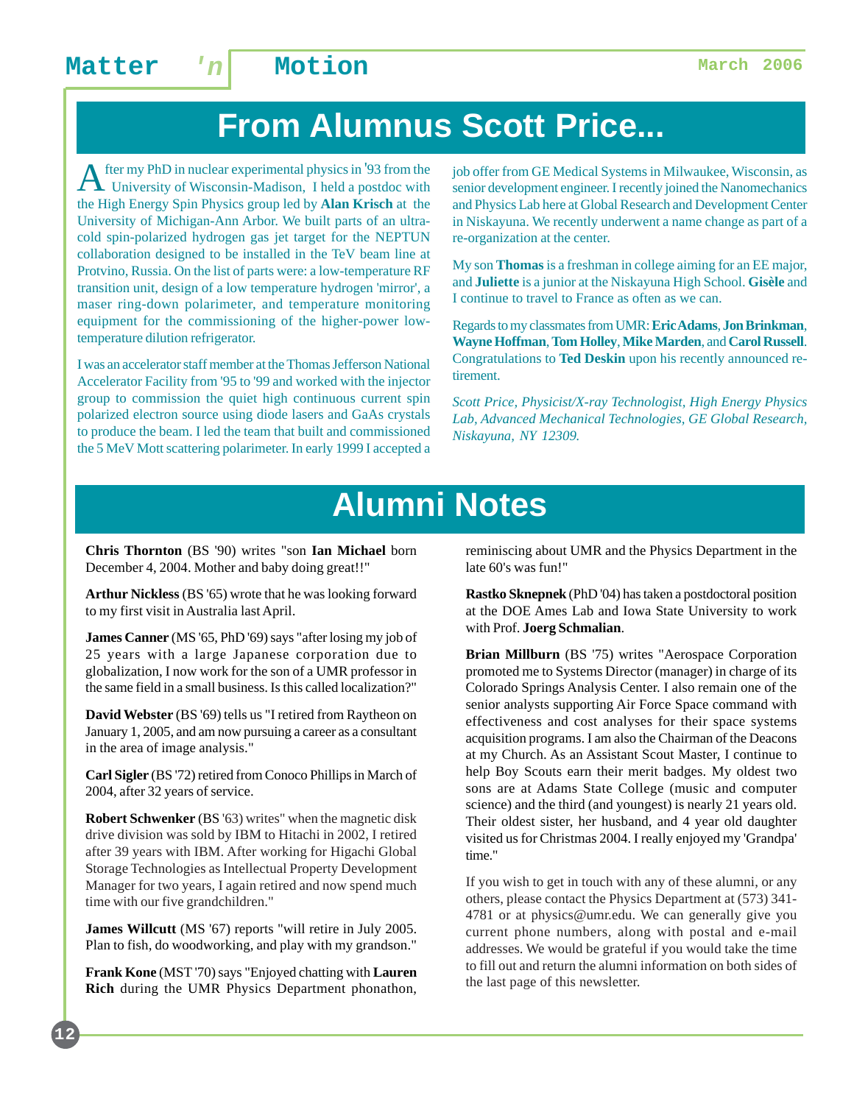# **From Alumnus Scott Price...**

A fter my PhD in nuclear experimental physics in '93 from the University of Wisconsin-Madison, I held a postdoc with the High Energy Spin Physics group led by **Alan Krisch** at the University of Michigan-Ann Arbor. We built parts of an ultracold spin-polarized hydrogen gas jet target for the NEPTUN collaboration designed to be installed in the TeV beam line at Protvino, Russia. On the list of parts were: a low-temperature RF transition unit, design of a low temperature hydrogen 'mirror', a maser ring-down polarimeter, and temperature monitoring equipment for the commissioning of the higher-power lowtemperature dilution refrigerator.

I was an accelerator staff member at the Thomas Jefferson National Accelerator Facility from '95 to '99 and worked with the injector group to commission the quiet high continuous current spin polarized electron source using diode lasers and GaAs crystals to produce the beam. I led the team that built and commissioned the 5 MeV Mott scattering polarimeter. In early 1999 I accepted a

job offer from GE Medical Systems in Milwaukee, Wisconsin, as senior development engineer. I recently joined the Nanomechanics and Physics Lab here at Global Research and Development Center in Niskayuna. We recently underwent a name change as part of a re-organization at the center.

My son **Thomas** is a freshman in college aiming for an EE major, and **Juliette** is a junior at the Niskayuna High School. **Gisèle** and I continue to travel to France as often as we can.

Regards to my classmates from UMR: **Eric Adams**, **Jon Brinkman**, **Wayne Hoffman**, **Tom Holley**, **Mike Marden**, and **Carol Russell**. Congratulations to **Ted Deskin** upon his recently announced retirement.

*Scott Price, Physicist/X-ray Technologist, High Energy Physics Lab, Advanced Mechanical Technologies, GE Global Research, Niskayuna, NY 12309.*

# **Alumni Notes**

**Chris Thornton** (BS '90) writes "son **Ian Michael** born December 4, 2004. Mother and baby doing great!!"

**Arthur Nickless** (BS '65) wrote that he was looking forward to my first visit in Australia last April.

**James Canner** (MS '65, PhD '69) says "after losing my job of 25 years with a large Japanese corporation due to globalization, I now work for the son of a UMR professor in the same field in a small business. Is this called localization?"

**David Webster** (BS '69) tells us "I retired from Raytheon on January 1, 2005, and am now pursuing a career as a consultant in the area of image analysis."

**Carl Sigler** (BS '72) retired from Conoco Phillips in March of 2004, after 32 years of service.

**Robert Schwenker** (BS '63) writes" when the magnetic disk drive division was sold by IBM to Hitachi in 2002, I retired after 39 years with IBM. After working for Higachi Global Storage Technologies as Intellectual Property Development Manager for two years, I again retired and now spend much time with our five grandchildren."

**James Willcutt** (MS '67) reports "will retire in July 2005. Plan to fish, do woodworking, and play with my grandson."

**Frank Kone** (MST '70) says "Enjoyed chatting with **Lauren Rich** during the UMR Physics Department phonathon, reminiscing about UMR and the Physics Department in the late 60's was fun!"

**Rastko Sknepnek** (PhD '04) has taken a postdoctoral position at the DOE Ames Lab and Iowa State University to work with Prof. **Joerg Schmalian**.

**Brian Millburn** (BS '75) writes "Aerospace Corporation promoted me to Systems Director (manager) in charge of its Colorado Springs Analysis Center. I also remain one of the senior analysts supporting Air Force Space command with effectiveness and cost analyses for their space systems acquisition programs. I am also the Chairman of the Deacons at my Church. As an Assistant Scout Master, I continue to help Boy Scouts earn their merit badges. My oldest two sons are at Adams State College (music and computer science) and the third (and youngest) is nearly 21 years old. Their oldest sister, her husband, and 4 year old daughter visited us for Christmas 2004. I really enjoyed my 'Grandpa' time."

If you wish to get in touch with any of these alumni, or any others, please contact the Physics Department at (573) 341- 4781 or at physics@umr.edu. We can generally give you current phone numbers, along with postal and e-mail addresses. We would be grateful if you would take the time to fill out and return the alumni information on both sides of the last page of this newsletter.

**12**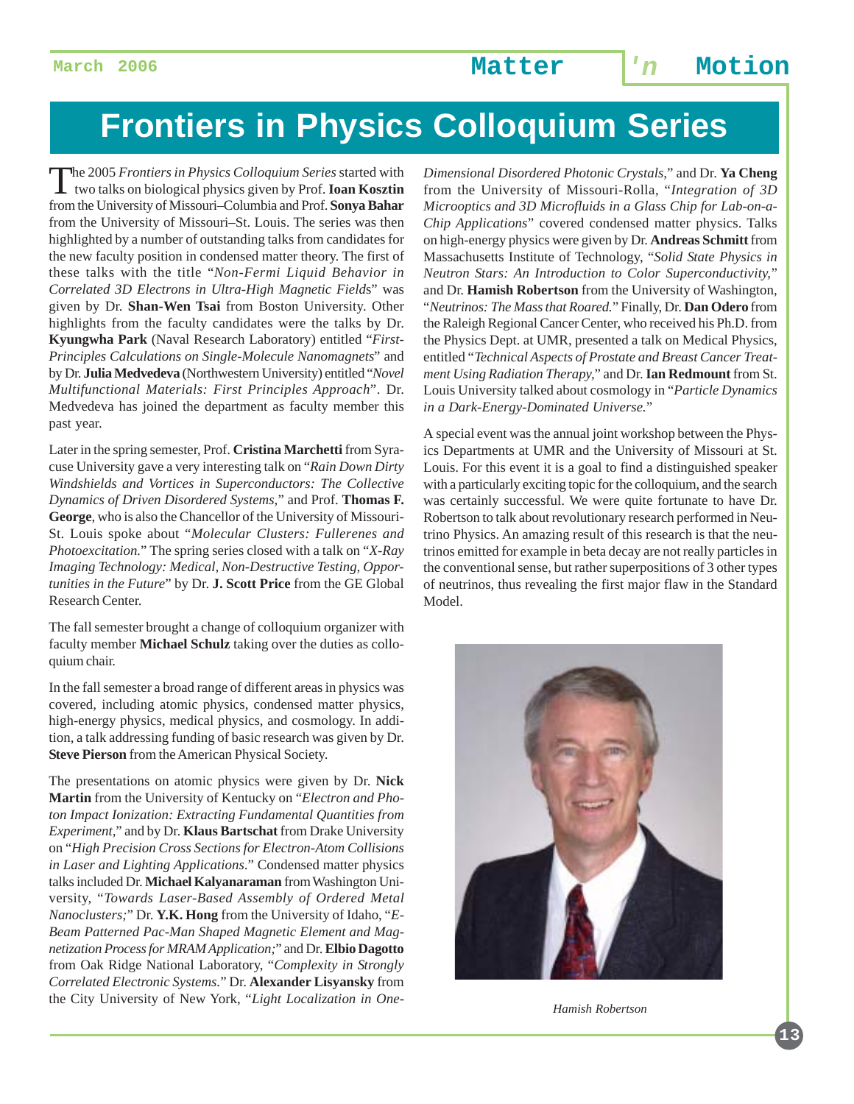# **Frontiers in Physics Colloquium Series**

The 2005 *Frontiers in Physics Colloquium Series* started with two talks on biological physics given by Prof. **Ioan Kosztin** from the University of Missouri–Columbia and Prof. **Sonya Bahar** from the University of Missouri–St. Louis. The series was then highlighted by a number of outstanding talks from candidates for the new faculty position in condensed matter theory. The first of these talks with the title "*Non-Fermi Liquid Behavior in Correlated 3D Electrons in Ultra-High Magnetic Field*s" was given by Dr. **Shan-Wen Tsai** from Boston University. Other highlights from the faculty candidates were the talks by Dr. **Kyungwha Park** (Naval Research Laboratory) entitled "*First-Principles Calculations on Single-Molecule Nanomagnets*" and by Dr. **Julia Medvedeva** (Northwestern University) entitled "*Novel Multifunctional Materials: First Principles Approach*". Dr. Medvedeva has joined the department as faculty member this past year.

Later in the spring semester, Prof. **Cristina Marchetti** from Syracuse University gave a very interesting talk on "*Rain Down Dirty Windshields and Vortices in Superconductors: The Collective Dynamics of Driven Disordered Systems,*" and Prof. **Thomas F. George**, who is also the Chancellor of the University of Missouri-St. Louis spoke about "*Molecular Clusters: Fullerenes and Photoexcitation.*" The spring series closed with a talk on "*X-Ray Imaging Technology: Medical, Non-Destructive Testing, Opportunities in the Future*" by Dr. **J. Scott Price** from the GE Global Research Center.

The fall semester brought a change of colloquium organizer with faculty member **Michael Schulz** taking over the duties as colloquium chair.

In the fall semester a broad range of different areas in physics was covered, including atomic physics, condensed matter physics, high-energy physics, medical physics, and cosmology. In addition, a talk addressing funding of basic research was given by Dr. **Steve Pierson** from the American Physical Society.

The presentations on atomic physics were given by Dr. **Nick Martin** from the University of Kentucky on "*Electron and Photon Impact Ionization: Extracting Fundamental Quantities from Experiment,*" and by Dr. **Klaus Bartschat** from Drake University on "*High Precision Cross Sections for Electron-Atom Collisions in Laser and Lighting Applications*." Condensed matter physics talks included Dr. **Michael Kalyanaraman** from Washington University, "*Towards Laser-Based Assembly of Ordered Metal Nanoclusters;*" Dr. **Y.K. Hong** from the University of Idaho, "*E-Beam Patterned Pac-Man Shaped Magnetic Element and Magnetization Process for MRAM Application;*" and Dr. **Elbio Dagotto** from Oak Ridge National Laboratory, "*Complexity in Strongly Correlated Electronic Systems.*" Dr. **Alexander Lisyansky** from the City University of New York, "*Light Localization in One-* *Dimensional Disordered Photonic Crystals,*" and Dr. **Ya Cheng** from the University of Missouri-Rolla, "*Integration of 3D Microoptics and 3D Microfluids in a Glass Chip for Lab-on-a-Chip Applications*" covered condensed matter physics. Talks on high-energy physics were given by Dr. **Andreas Schmitt** from Massachusetts Institute of Technology, "*Solid State Physics in Neutron Stars: An Introduction to Color Superconductivity,*" and Dr. **Hamish Robertson** from the University of Washington, "*Neutrinos: The Mass that Roared.*" Finally, Dr. **Dan Odero** from the Raleigh Regional Cancer Center, who received his Ph.D. from the Physics Dept. at UMR, presented a talk on Medical Physics, entitled "*Technical Aspects of Prostate and Breast Cancer Treatment Using Radiation Therapy,*" and Dr. **Ian Redmount** from St. Louis University talked about cosmology in "*Particle Dynamics in a Dark-Energy-Dominated Universe.*"

A special event was the annual joint workshop between the Physics Departments at UMR and the University of Missouri at St. Louis. For this event it is a goal to find a distinguished speaker with a particularly exciting topic for the colloquium, and the search was certainly successful. We were quite fortunate to have Dr. Robertson to talk about revolutionary research performed in Neutrino Physics. An amazing result of this research is that the neutrinos emitted for example in beta decay are not really particles in the conventional sense, but rather superpositions of 3 other types of neutrinos, thus revealing the first major flaw in the Standard Model.



*Hamish Robertson*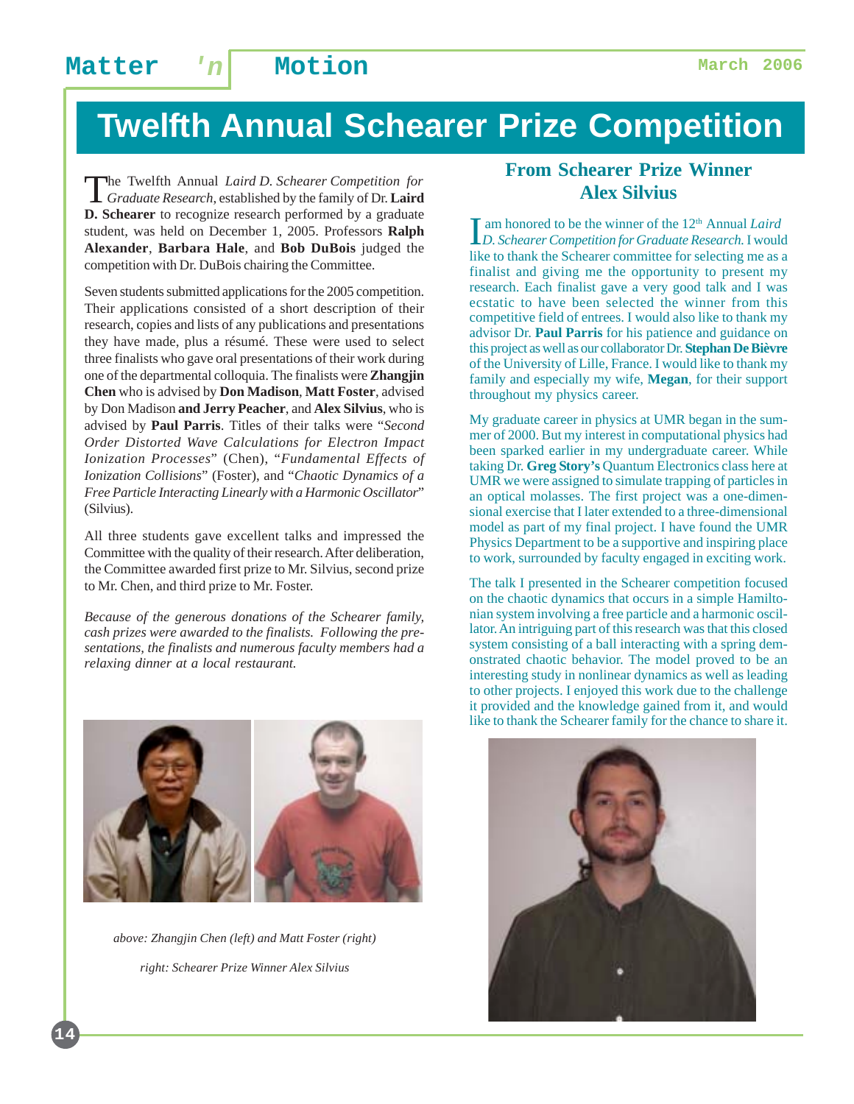# **Twelfth Annual Schearer Prize Competition**

The Twelfth Annual *Laird D. Schearer Competition for Graduate Research*, established by the family of Dr. **Laird D. Schearer** to recognize research performed by a graduate student, was held on December 1, 2005. Professors **Ralph Alexander**, **Barbara Hale**, and **Bob DuBois** judged the competition with Dr. DuBois chairing the Committee.

Seven students submitted applications for the 2005 competition. Their applications consisted of a short description of their research, copies and lists of any publications and presentations they have made, plus a résumé. These were used to select three finalists who gave oral presentations of their work during one of the departmental colloquia. The finalists were **Zhangjin Chen** who is advised by **Don Madison**, **Matt Foster**, advised by Don Madison **and Jerry Peacher**, and **Alex Silvius**, who is advised by **Paul Parris**. Titles of their talks were "*Second Order Distorted Wave Calculations for Electron Impact Ionization Processes*" (Chen), "*Fundamental Effects of Ionization Collisions*" (Foster), and "*Chaotic Dynamics of a Free Particle Interacting Linearly with a Harmonic Oscillator*" (Silvius).

All three students gave excellent talks and impressed the Committee with the quality of their research. After deliberation, the Committee awarded first prize to Mr. Silvius, second prize to Mr. Chen, and third prize to Mr. Foster.

*Because of the generous donations of the Schearer family, cash prizes were awarded to the finalists. Following the presentations, the finalists and numerous faculty members had a relaxing dinner at a local restaurant.*



*above: Zhangjin Chen (left) and Matt Foster (right) right: Schearer Prize Winner Alex Silvius*

#### **From Schearer Prize Winner Alex Silvius**

Im honored to be the winner of the 12<sup>th</sup> Annual *Laird*<br>*D. Schearer Competition for Graduate Research*. I would am honored to be the winner of the 12<sup>th</sup> Annual *Laird* like to thank the Schearer committee for selecting me as a finalist and giving me the opportunity to present my research. Each finalist gave a very good talk and I was ecstatic to have been selected the winner from this competitive field of entrees. I would also like to thank my advisor Dr. **Paul Parris** for his patience and guidance on this project as well as our collaborator Dr. **Stephan De Bièvre** of the University of Lille, France. I would like to thank my family and especially my wife, **Megan**, for their support throughout my physics career.

My graduate career in physics at UMR began in the summer of 2000. But my interest in computational physics had been sparked earlier in my undergraduate career. While taking Dr. **Greg Story's** Quantum Electronics class here at UMR we were assigned to simulate trapping of particles in an optical molasses. The first project was a one-dimensional exercise that I later extended to a three-dimensional model as part of my final project. I have found the UMR Physics Department to be a supportive and inspiring place to work, surrounded by faculty engaged in exciting work.

The talk I presented in the Schearer competition focused on the chaotic dynamics that occurs in a simple Hamiltonian system involving a free particle and a harmonic oscillator. An intriguing part of this research was that this closed system consisting of a ball interacting with a spring demonstrated chaotic behavior. The model proved to be an interesting study in nonlinear dynamics as well as leading to other projects. I enjoyed this work due to the challenge it provided and the knowledge gained from it, and would like to thank the Schearer family for the chance to share it.

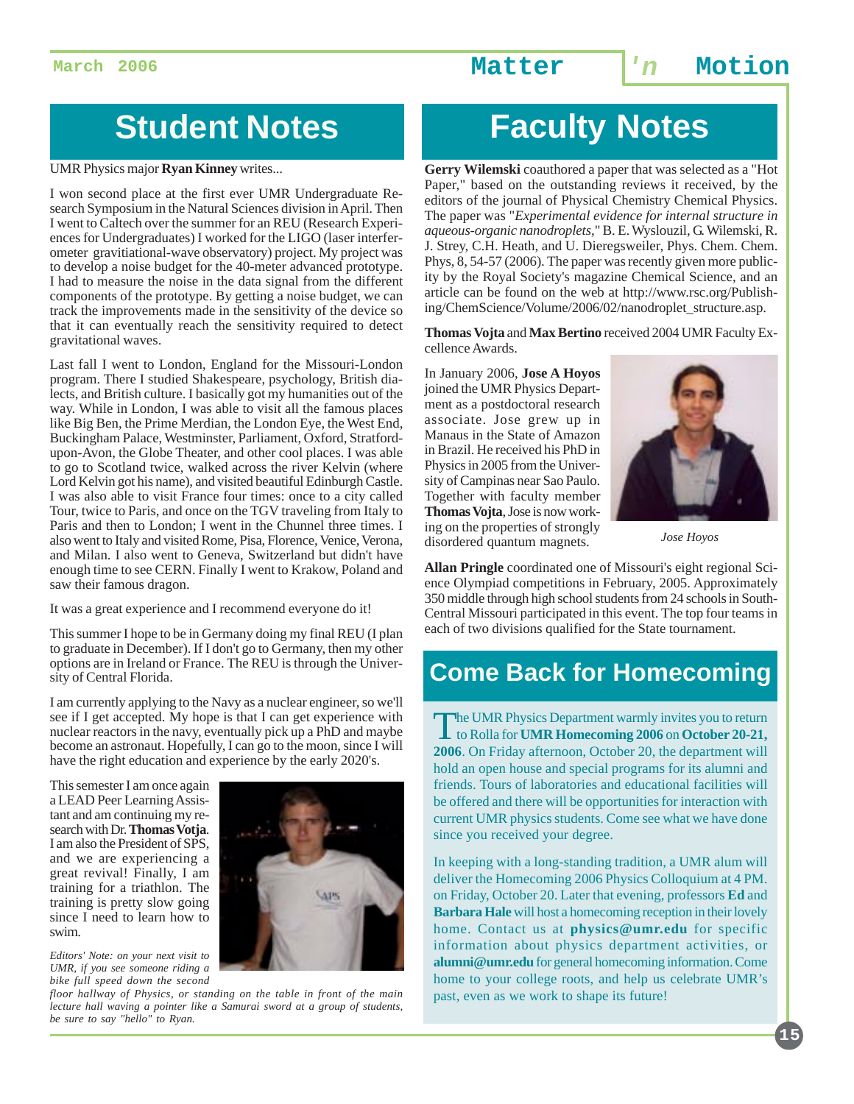**March 2006 Matter 'n Motion**

# **Student Notes**

UMR Physics major **Ryan Kinney** writes...

I won second place at the first ever UMR Undergraduate Research Symposium in the Natural Sciences division in April. Then I went to Caltech over the summer for an REU (Research Experiences for Undergraduates) I worked for the LIGO (laser interferometer gravitiational-wave observatory) project. My project was to develop a noise budget for the 40-meter advanced prototype. I had to measure the noise in the data signal from the different components of the prototype. By getting a noise budget, we can track the improvements made in the sensitivity of the device so that it can eventually reach the sensitivity required to detect gravitational waves.

Last fall I went to London, England for the Missouri-London program. There I studied Shakespeare, psychology, British dialects, and British culture. I basically got my humanities out of the way. While in London, I was able to visit all the famous places like Big Ben, the Prime Merdian, the London Eye, the West End, Buckingham Palace, Westminster, Parliament, Oxford, Stratfordupon-Avon, the Globe Theater, and other cool places. I was able to go to Scotland twice, walked across the river Kelvin (where Lord Kelvin got his name), and visited beautiful Edinburgh Castle. I was also able to visit France four times: once to a city called Tour, twice to Paris, and once on the TGV traveling from Italy to Paris and then to London; I went in the Chunnel three times. I also went to Italy and visited Rome, Pisa, Florence, Venice, Verona, and Milan. I also went to Geneva, Switzerland but didn't have enough time to see CERN. Finally I went to Krakow, Poland and saw their famous dragon.

It was a great experience and I recommend everyone do it!

This summer I hope to be in Germany doing my final REU (I plan to graduate in December). If I don't go to Germany, then my other options are in Ireland or France. The REU is through the University of Central Florida.

I am currently applying to the Navy as a nuclear engineer, so we'll see if I get accepted. My hope is that I can get experience with nuclear reactors in the navy, eventually pick up a PhD and maybe become an astronaut. Hopefully, I can go to the moon, since I will have the right education and experience by the early 2020's.

This semester I am once again a LEAD Peer Learning Assistant and am continuing my research with Dr. **Thomas Votja**. I am also the President of SPS, and we are experiencing a great revival! Finally, I am training for a triathlon. The training is pretty slow going since I need to learn how to swim.



*Editors' Note: on your next visit to UMR, if you see someone riding a bike full speed down the second*

*floor hallway of Physics, or standing on the table in front of the main lecture hall waving a pointer like a Samurai sword at a group of students, be sure to say "hello" to Ryan.*

# **Faculty Notes**

**Gerry Wilemski** coauthored a paper that was selected as a "Hot Paper," based on the outstanding reviews it received, by the editors of the journal of Physical Chemistry Chemical Physics. The paper was "*Experimental evidence for internal structure in aqueous-organic nanodroplets*," B. E. Wyslouzil, G. Wilemski, R. J. Strey, C.H. Heath, and U. Dieregsweiler, Phys. Chem. Chem. Phys, 8, 54-57 (2006). The paper was recently given more publicity by the Royal Society's magazine Chemical Science, and an article can be found on the web at http://www.rsc.org/Publishing/ChemScience/Volume/2006/02/nanodroplet\_structure.asp.

**Thomas Vojta** and **Max Bertino** received 2004 UMR Faculty Excellence Awards.

In January 2006, **Jose A Hoyos** joined the UMR Physics Department as a postdoctoral research associate. Jose grew up in Manaus in the State of Amazon in Brazil. He received his PhD in Physics in 2005 from the University of Campinas near Sao Paulo. Together with faculty member **Thomas Vojta**, Jose is now working on the properties of strongly disordered quantum magnets.



*Jose Hoyos*

**Allan Pringle** coordinated one of Missouri's eight regional Science Olympiad competitions in February, 2005. Approximately 350 middle through high school students from 24 schools in South-Central Missouri participated in this event. The top four teams in each of two divisions qualified for the State tournament.

## **Come Back for Homecoming**

The UMR Physics Department warmly invites you to return<br>to Rolla for **UMR Homecoming 2006** on **October 20-21**, **2006**. On Friday afternoon, October 20, the department will hold an open house and special programs for its alumni and friends. Tours of laboratories and educational facilities will be offered and there will be opportunities for interaction with current UMR physics students. Come see what we have done since you received your degree.

In keeping with a long-standing tradition, a UMR alum will deliver the Homecoming 2006 Physics Colloquium at 4 PM. on Friday, October 20. Later that evening, professors **Ed** and **Barbara Hale** will host a homecoming reception in their lovely home. Contact us at **physics@umr.edu** for specific information about physics department activities, or **alumni@umr.edu** for general homecoming information. Come home to your college roots, and help us celebrate UMR's past, even as we work to shape its future!